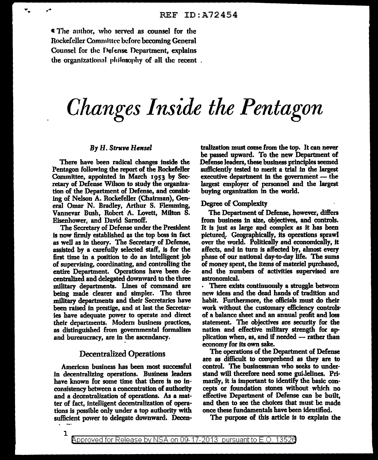ti The authof, who served as counsel for the Rockefeller Committee before becoming General Counsel for the Defense Department, explains the organizational philosophy of all the recent.

# *Changes Inside the Pentagon*

#### By H. *Struve Hensel*

There have been radical changes inside the Pentagon following the report of the Rockefeller Committee, appointed in March 1953 by Secretary of Defense Wilson to study the organization of the Department of Defense, and consisting of Nelson A. Rockefeller (Chairman), General Omar N. Bradley, Arthur S. Flemming, Vannevar Bush, Robert A. Lovett, Milton S. Eisenhower, and David Sarnoff.

The Secretary of Defense under the President is now firmly established as tbe top boss in fact as well as in theory. The Secretary of Defense, assisted by a carefully selected staff, is for the first time in a position to do an Intelligent job of supervising, coordinating, and controlling the entire Department. Operations have been decentralized and delegated downward to the three military departments. Lines of command are being made clearer and simpler. The three military departments and their Secretaries have been raised in prestige, and at last the Secretaries have adequate power to operate and direct their departments. Modern business practices, as distinguisbed from governmental formalism and bureaucracy, are in the ascendancy.

### Decentralized Operations

American business has been most successful in decentralizing operations. Business leaders have known for some time that there is no inconsistency between a concentration of authority and a decentralization of operations. As a matter of fact, intelJigent decentralization of operations is possible only under a top authority with sufficient power to delegate downward. Decen-

trallzation must come from tbe top. It can never be passed upward. To the new Department of Defense leaders, these business principles seemed sufficiently tested to merit a trial in the largest executive department in the government  $-$  the largest employer of personnel and the largest buying organization in the world.

#### Degree of Complexity

The Department of Defense, however, differs from business in size, objectives, and controls. It is just as large and complex as it has been pictured\_. Geographically, its operations sprawl over tbe world. Politically and economically, it affects, and in turn is affected by, almost every phase of our national day-to-day life. The sums of money spent, the items of materiel purchased, and the numbers of activities supervised are astronomical.

• There exists continuously a sttuggle between new ideas and the dead hands of tradition and habit. Furthermore, the officials must do their work without the customary efficiency controls. of a balance sheet and an annual profit and loss statement. The objectives are security for the nation and effective military strength for application when, as, and if needed  $-$  rather than economy for its own sake.

The operations of the Department of Defense are as difficult to comprehend as they are to control. The businessman who seeks to understand will therefore need some guidelines. Primarily, it is important to identify the basic concepts or foundation stones without which no effective Department of Defense can be built, and then to see the choices that must be made once these fundamentals have been identified.

The purpose of this article is to explain the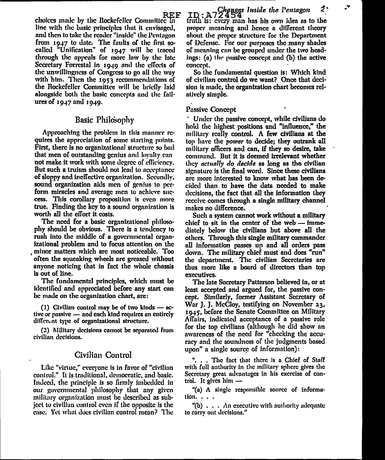REF choices made by the Rockefeller Committee in line with the basic principles that it envisaged, and then to take the reader "inside" the Pentagon from 1947 to date. The faults of the first socalled "Unification" of 1947 will be traced through the appeals for more law by the late Secretary Forrestal in 1949 and the effects of the unwillingness of Congress lo go nil the m1y with him. Then the 1953 recommendations of the Rockefeller Committee will be briefly laid alongside both the basic concepts and the failures of  $1947$  and  $1949$ .

# Basic Philosophy

Approaching the problem in this manner requires the appreciation of some starling points. First, there is no orgnnizationaJ structure so bad that men of outstanding genius and loyalty can not make it work with some degree of efficiency. But such a truism should not lead to acceptance of sloppy and ineffective organization. Secondly, sound organization aids men of genius lo perform miracles and average men to achieve success. This corollary proposition is even more true. Finding the key to a sound organization is worth all the effort it costs.

The need for a basic organizational philosophy should be obvious. There is a tendency to rush into the middle of a governmental organizational problem and to focus attention on the minor matters which are most noticeable. Too often the squeaking wheels are greased without anyone noticing that in fact the whole chassis is out of line.

The fundamental principles, which must be identified and appreciated before any start can be made on the organization chart, ore:

(1) Civilian control may be of two kinds  $-$  active or passive  $-$  and each kind requires an entirely different type of organizational structure.

(2) Military decisions cannot be separated from civilian decisions.

## Civilian Control

Like "virtue," everyone is in favor of "civilian control." It is traditional, democratic, and basic. Indeed, the principle is so firmly imbedded in our governmental philosophy that any given military organization must be described as subject to civilian control even if the opposite is the case. Yet what does civilian control mean? The

 $\tau$ <sub>D</sub>  $\tau$   $\sim$   $\sim$   $G$ *hanges Inside the l'entagon* 2. frif $\ln$  is: every man has his own idea as to the proper meaning and hence n different theory about the proper structure for the Department of Defense. For our purposes the many shades of meaning can be grouped under the two headings:  $(a)$  the passive concept and  $(b)$  the active concept.

So the fundamental question is: Which kind of civilian control do we want? Once that decision is made, the organization chart becomes relatively simple.

#### Passive Concept

· Under the passive concept, \Vhile civilians do hold the highest positions and "influence," the military really control. A few civilians at the top have the *power* to decide; they outrank all military officers and can, if they so desire, take command. But it is deemed irrelevant whether the)' *actually do decide* as long as the civilian signature is the final word. Since these civilians arc more interested to know what has been decided than to bave the data needed to make decisions, the fact that aJI the information they rcceive comes through a single military channel makes no difference.

Such a system cannot work without a military chief to sit in the center of the web  $-$  immediately below tbe civilians but above all the others. Through this single military commander nil information passes up and all orders pass down. The military chief must and does "run" the department. The civilian Secretaries arc thus more like a board of directors than top executives.

Tbe late Secretary Patterson believed in, or at least accepted. and argued for, the passive concept. Similarly, former Assistant Secretary of War J. J. McCloy, testifying on November 23, 1945, before the Senate Committee on Military Affairs, indicated acceptance of a passive role for the top civilians (although he did show an awareness of the need for "checking the accuracy and the soundness of the judgments based upon" a single source of information):

". . . The fnct that there is n Chief *oE* Staff with full authority in the militnry sphere gives the Secretary great advantages in his exercise of control. It gives him  $-$ 

"(a) A single responsible source of information. . . .

"(b)  $\ldots$  An executive with authority adequate to carry out decisions."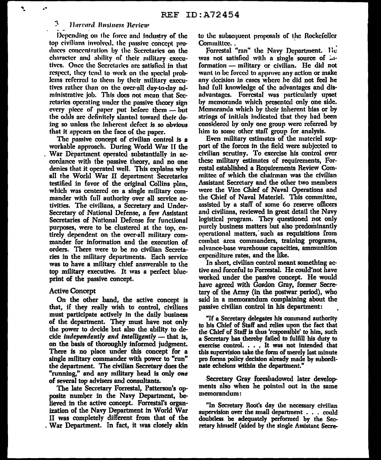#### 3. Harvard Business Review

Ń,

Depending on the force and industry of the top civilians involved, the passive concept produces concentration by the Secretaries on the character and ability of their military executives. Once the Secretaries are satisfied in that respect, they tend to work on the special problems referred to them by their military executives rather than on the over-all day-to-day administrative job. This does not mean that Secretaries operating under the passive theory sign every piece of paper put before them - but the odds are definitely slanted toward their doing so unless the inherent defect is so obvious that it appears on the face of the paper.

The passive concept of civilian control is a workable approach. During World War II the War Department operated substantially in accordance with the passive theory, and no one denics that it operated well. This explains why all the World War II department Secretaries testified in favor of the original Collins plan. which was centered on a single military commander with full authority over all service activities. The civilians, a Secretary and Under-Secretary of National Defense, a few Assistant Secretaries of National Defense for functional purposes, were to be clustered at the top, entirely dependent on the over-all military commander for information and the execution of orders. There were to be no civilian Secretaries in the military departments. Each service was to have a military chief answerable to the top military executive. It was a perfect blucprint of the passive concept.

#### **Active Concept**

On the other hand, the active concent is that, if they really wish to control, civilians must participate actively in the daily business of the department. They must have not only the power to decide but also the ability to decide independently and intelligently  $-$  that is, on the basis of thoroughly informed judgment. There is no place under this concept for a single military commander with power to "run" the department. The civilian Secretary does the "running," and any military head is only one of several top advisers and consultants.

The late Secretary Forrestal, Patterson's opposite number in the Navy Department, believed in the active concept. Forrestal's organization of the Navy Department in World War II was completely different from that of the . War Department. In fact, it was closely akin to the subsequent proposals of the Rockefeller Committee.

Forrestal "ran" the Navy Department. He was not satisfied with a single source of ... formation - military or civilian. He did not want to be forced to approve any action or make any decision in cases where he did not feel he had full knowledge of the advantages and disadvantages. Forrestal was particularly upset by memoranda which presented only one side. Memoranda which by their inherent bias or by strings of initials indicated that they had been considered by only one group were referred by him to some other staff group for analysis.

Even military estimates of the materiel support of the forces in the field were subjected to civilian scrutiny. To exercise his control over these military estimates of requirements, Forrestal established a Requirements Review Committee of which the chairman was the civilian Assistant Secretary and the other two members were the Vice Chief of Naval Operations and the Chief of Naval Materiel. This committee, assisted by a staff of some 60 reserve officers and civilians, reviewed in great detail the Navy logistical program. They questioned not only purely business matters but also predominantly operational matters, such as requisitions from combat area commanders, training programs, advance-base warehouse capacities, ammunition expenditure rates, and the like.

In short, civilian control meant something active and forceful to Forrestal. He could'not have worked under the passive concept. He would have agreed with Gordon Gray, former Secretary of the Army (in the postwar period), who said in a memorandum complaining about the passive civilian control in his department:

"If a Secretary delegates his command authority to his Chief of Staff and relies upon the fact that the Chief of Staff is thus 'responsible' to him, such a Secretary has thereby failed to fulfill his duty to exercise control.  $\ldots$  It was not intended that this supervision take the form of merely last minute pro forma policy decision already made by subordinate echelons within the department."

Secretary Gray foreshadowed later developments also when he pointed out in the same memorandum:

"In Secretary Root's day the necessary civilian supervision over the small department . . . could doubtless be adequately performed by the Secretary himself (aided by the single Assistant Secre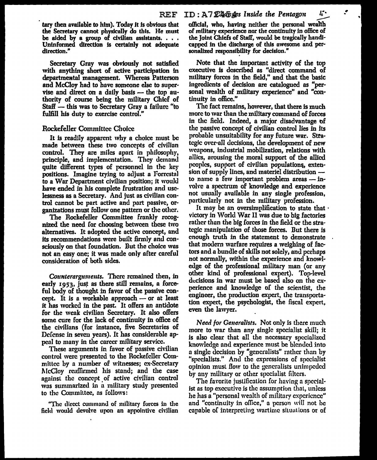tary then available to him). Today it is obvious that official, who, having neither the personal wealth the Secretary cannot physically do this. He must of military experience nor the continuity in office of be aided by a group of civilian assistants. . . . Uninformed direction is certainly not adequate direction."

Secretary Gray was obviously not satisfied with anything short of active participation in departmeatal management. Whereas Patterson and McCloy had to have someone else to supervise and direct on a daily basis  $-$  the top authority of course being the military Chief of Staff  $-$  this was to Secretary Gray a failure "to fulfill his duty to exercise control."

#### Rockefeller Committee Choice

It is readily apparent why a choice must be made between these two concepts of civilian control. They are miles apart in philosophy, principle, and implementation. They demand quite different types of personnel in the key positions. Imagine trying to adjust a Forrestal to a War Department civilian position; it wou]d have ended in his complete frustration and uselessness as a Secretary. And just as civilian control cannot be part active and part passive, organizations must follow one pattern or the other.

The Rockefeller Committee frankly recognized the need for choosing between these two alternatives. It adopted the active concept, and its recommendations were built firmly and consciously on that foundation. But the choice was not an easy one; it was made only after careful consideration of both sides.

*Cozmterargr1111euts.* There remained then, in early 1953, just as there still remains, a forceful body of thought in favor of the passive concept. It is a workable approach  $-$  or at least it has worked in the past. It offers an antidote for the weak civilian Secretary. It also offers some cure for the lack of continuity in office of the civilians (for instance, five Secretaries of Defense in seven years). It has considerable appeal to many in the career military service.

These arguments in favor of passive civilian control were presented to the Rockefeller Committee by a number of witnesses; ex-Secretary McCloy reaffirmed his stand; and the case against the concept of active civilian control was summarized in a military study presented to the Commiltee, ns follows:

"The direct command of military forces in the field would devolve upon an appointive civilian

of military experience nor the continuity in office of the Joint Chiefs of StafI, would be tragically handicapped in the discharge of this awesome and personalized responsibility for decision."

Note that the important activity of the top executive is described as "direct command of military forces in the field," and that the basic ingredients of decision are catalogued as "personal wealth of military experience" and "continuity in office."

The fact remains, however, that there is much more to war than the military command of forces in the field. Indeed, a major disadvantage of the passive concept of civilian control lies in Jts probable unsuitability for any future war. Strategic over-all decisions, the development of new weapons, industrial mobilization, relations with aJlies, arousing the moral support of the allied peoples, support of civilian populations, extension of supply lines, and materiel distribution to name a few important problem areas  $-$  involve a spectrum of knowledge and experience not usually available in any single profession, particularly not in the military profession.

It may be an oversimplification to state that  $\cdot$ victory in \Vorld War II was due to big factories rather than the big forces in the field or the strategic manipulation of those forces. But there is enough truth in the statement to demonstrate that modern warfare requires a weighing of factors and a bundle of skills not solely, and perhaps not normally, within the experience and knowledge of the professional military man (or any other kind of professional expert). Top-level decisions in war must be based also on the experience and knowledge of the scientist, the engineer, the production expert, the transportation expert, the psychologist, the fiscal expert, even the lawyer.

*Need for Generalists.* Not only is there much more to war than any single specialist skill; it is also clear that all the necessary specialized knowledge and experience must be blended into a single decision by "generalists" rnther than by "specJalists." And the expressions of specialist opinion must flow to the genemlists unimpeded by any military or other specialist filters.

The favorite justification for having a specialist as top executive is the assumption that, unless he has a "personal wealth of military experience" and "continuity in office," a person will not be capable of interpreting wartime situations or of

. •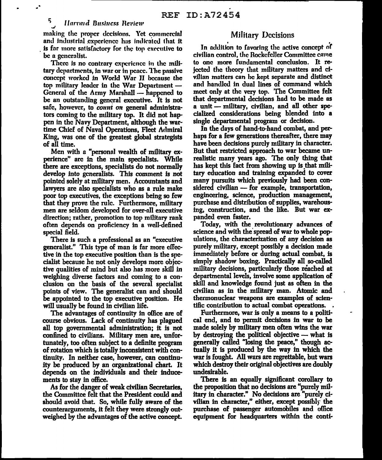#### *Harvard Business Review*

making the proper decisiom;, Yet commercial and industrial experience has indicated that it is far more satisfactory for the top executive to be a generalist.

There is no contrary experience in the military departments, in war or in peace. The passive concc1lt worked *in* World War JI because the top military leader in the War Department  $-$ General of the  $A$ rmy Marshall — happened to be an outstanding general executive. It is not safe, however, to *count on* general administrators coming to the military top. It did not happen in the Navy Department, although the wartime Chief of Naval Operations, Fleet Admiral King, was one of the greatest global strategists of all time.

Men with a "personal wealth of military experience" arc in the main specialists. While there are exceptions, specialists do not normally develop into generalists. This comment is not pointed solely at military men. Accountants and lawyers are also specialists who as a rule make poor top executives, the exceptions being so few that they prove the rule. Furthermore, military men are seldom developed for over-all executive direction; rather, promotion to top military rank often depends on proficiency in a well-defined special field.

There is such a professional as an "executive generalist." This type of man is far more effective in the top executive position than is the specialist because he not only develops more objective qualities of mind but also has more skill in weighing diverse factors and coming to a conclusion on the basis of the several specialist points of view. The generalist can and should be appointed to the top executive position. He will usually be found in civilian life.

The advantages of continuity in office are of course obvious. Lack of continuity has plagued all top governmental administration; it is not confined to civilians. Military men are, unfortunately, too often subject to a definite program of rotation \'Vhich is totally inconsistent with continuity. In neither case, however, can continuity be produced by an organizational chart. It depends on the individuals and their inducements to stay in office.

As for the danger of weak civilian Secretaries, the Committee felt that the President could and sbould avoid that. So, while fully aware of the counterarguments, it felt they were strongly outweighed by the advantages of the active concept.

# Military Decisions

In addition to favoring the active concept of civilian control, the Rockefeller Committee came to one more fundamental conclusion. It rejected the theory that military matters and civilian matters can he kept separate and distinct ancl handled in dual lines of command which meet only at the very top. The Committee felt that departmental decisions had to be made as a unit - military, civilian, and all other specialized considerations being blended into a single departmental program *or* decision.

In the days of hand-to-hand combat, and perhaps for a few generations thereafter, there may have been decisions purely military in character. But that restricted approach to war became unrealistic many years ago. The only thing that has kept this fact from showing up is that military education and training expanded to cover many pursuits which previously had been considered civilian  $-$  for example, transportation, engineering, science, production management, purchase and distribution of supplies, warehousing, construction, and the like. But war expanded even faster.

Today, with the revolutionary advances of science and with the spread of war to whole populations, the characterization of any decision as purely military, except possibly a decision made immediately before or during actual combat, is simply shadow boxing. Practically all so-called military decisions, particularly those reached at departmental levels, involve some application of skill and knowledge found just as often in the civilian as in the military man. Atomic and thermonuclear \Veapons are examples of scientific contribution to actual combat operations. .

Furthermore, war is only a means to a political end, and to permit decisions in war to be made solely by military men often wins the war by destroying the political objective  $-$  what is generally called "losing the peace," though actually it is produced by the way in which the war is fought. All wars are regrettable, but wars which destroy their original objectives are doubly undesirable.

There is an equally significant corollary to the proposition that no decisions are "purely military in character." No decisions are "purely civilian in character," either, except possibly the purchase of passenger automobiles and office equipment for headquarters within the conti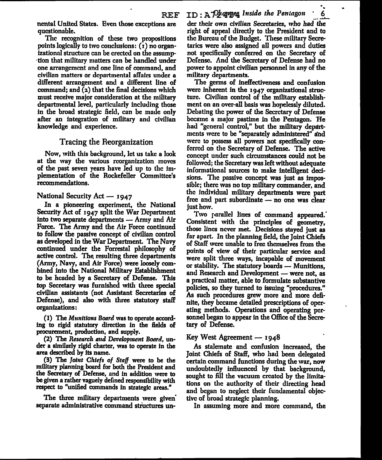nental United States. Even those exceptions are questionable.

The recognition of these two propositions points logically to two conclusions: (1) no organizational structure can be crected on the assumption that military matters can be handled under one arrangement and one line of command, and civilian matters or departmental affairs under a different arrangement and a different line of command; and (2) that the final decisions which must receive major consideration at the military departmental level, particularly including those in the broad strategic field, can be made only after an integration of military and civilian knowledge and experience.

#### Tracing the Reorganization

Now, with this background, let us take a look at the way the various reorganization moves of the past seven years have led up to the implementation of the Rockefeller Committee's recommendations.

#### National Security Act - 1947

In a pioneering experiment, the National Security Act of 1947 split the War Department into two separate departments — Army and Air Force. The Army and the Air Force continued to follow the passive concept of civilian control as developed in the War Department. The Navy continued under the Forrestal philosophy of active control. The resulting three departments (Army, Navy, and Air Force) were loosely combined into the National Military Establishment to be headed by a Secretary of Defense. This top Secretary was furnished with three special civilian assistants (not Assistant Secretaries of Defense), and also with three statutory staff organizations:

(1) The Munitions Board was to operate according to rigid statutory direction in the fields of procurement, production, and supply.

(2) The Research and Development Board, under a similarly rigid charter, was to operate in the area described by its name.

(3) The Joint Chiefs of Staff were to be the military planning board for both the President and the Secretary of Defense, and in addition were to be given a rather vaguely defined responsibility with respect to "unified commands in strategic areas."

The three military departments were given separate administrative command structures un-

der their own civilian Secretaries, who had the right of appeal directly to the President and to the Bureau of the Budget. These military Secretarics were also assigned all powers and duties not specifically conferred on the Secretary of Defense, And the Secretary of Defense had no power to appoint civilian personnel in any of the military departments.

6

The germs of ineffectiveness and confusion were inherent in the 1947 organizational structure. Civilian control of the military establishment on an over-all basis was hopelessly diluted. Debating the power of the Secretary of Defense became a major pastime in the Pentagon. He had "general control," but the military departments were to be "separately administered" and were to possess all powers not specifically conferred on the Secretary of Defense. The active concept under such circumstances could not be followed; the Secretary was left without adequate informational sources to make intelligent decisions. The passive concept was just as impossible; there was no top military commander, and the individual military departments were part free and part subordinate - no one was clear just how.

Two parallel lines of command appeared. Consistent with the principles of geometry, those lines never met. Decisions staved just as far apart. In the planning field, the Joint Chiefs of Staff were unable to free themselves from the points of view of their particular service and were split three ways, incapable of movement or stability. The statutory boards — Munitions, and Research and Development - were not, as a practical matter, able to formulate substantive policies, so they turned to issuing "procedures." As such procedures grew more and more definite, they became detailed prescriptions of operating methods. Operations and operating personnel began to appear in the Office of the Secretary of Defense.

#### Key West Agreement — 1948

As stalemate and confusion increased, the Joint Chiefs of Staff, who had been delegated certain command functions during the war, now undoubtedly influenced by that background, sought to fill the vacuum created by the limitations on the authority of their directing head and began to neglect their fundamental objective of broad strategic planning.

In assuming more and more command, the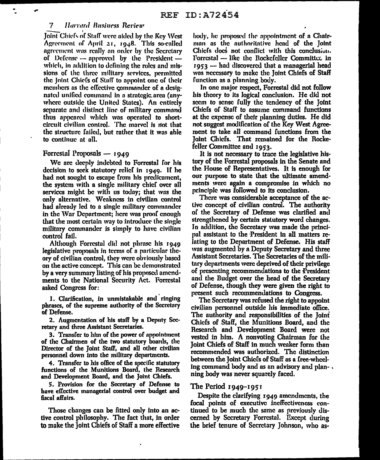#### 7 Harvard Business Review

Joint Chiefs of Staff were aided by the Key West Agreement of April 21, 1948. This so-called agreement was really an order by the Secretary of Defense  $-$  approved by the President  $$ which, in addition to defining the roles and missions of the three military services, permitted the Joint Chiefs of Staff to appoint one of their members as the effective commander of a designated unified command in a strategic area (anywhere outside the United States). An entirely separate and distinct line of military command thus appeared which was operated to shortcircuit civilian control. The marvel is not that the structure failed, but rather that it was able to continue at all.

#### Forrestal Proposals  $-$  1949

We are deeply indebted to Forrestal for his decision to seek statutory relief in  $1949$ . If he had not sought to escape from his predicament, the system with a single military chief over all services might be with us today; that was the only alternative. Weakness in civilian control had already led to a single military commander in the War Department; here was proof enough that the most certain way to introduce the single military commander is simply to have civilian control fail.

Although Forrestal did not phrase his 1949 legislative proposals in terms of a particular theory of civilian control, they were obviously based on the active concept. This can be demonstrated by a very summary listing of his proposed amendments to the National Security Act. Forrestal asked Congress for:

1. Clarification, in unmistakable and ringing phrases, of the supreme authority of the Secretary of Defense.

2. Augmentation of his staff by a Deputy Secretary and three Assistant Secretaries.

3. Transfer to him of the power of appointment of the Chairmen of the two statutory boards, the Director of the Joint Staff, and all other civilian personnel down into the military departments.

4. Transfer to his office of the specific statutory functions of the Munitions Board, the Research and Development Board, and the Joint Chiefs.

5. Provision for the Secretary of Defense to have effective managerial control over budget and fiscal affairs.

Those changes can be fitted only into an active control philosophy. The fact that, in order to make the Joint Chiefs of Staff a more effective

body, he proposed the appointment of a Chairman as the authoritative head of the Joint Chiefs does not conflict with this conclusion. Forrestal -- like the Rockefeller Committee in 1953 - had discovered that a managerial head was necessary to make the Joint Chiefs of Staff function as a planning body.

In one major respect, Forrestal did not follow his theory to its logical conclusion. He did not seem to sense fully the tendency of the Joint Chiefs of Staff to assume command functions at the expense of their planning duties. He did not suggest modification of the Key West Agreement to take all command functions from the loint Chiefs. That remained for the Rockefeller Committee and 1953.

It is not necessary to trace the legislative history of the Forrestal proposals in the Senate and the House of Representatives. It is enough for our purpose to state that the ultimate amendments were again a compromise in which no principle was followed to its conclusion.

There was considerable acceptance of the active concept of civilian control. The authority of the Secretary of Defense was clarified and strengthened by certain statutory word changes. In addition, the Secretary was made the principal assistant to the President in all matters relating to the Department of Defense. His staff was augmented by a Deputy Secretary and three Assistant Secretaries. The Secretaries of the military departments were deprived of their privilege of presenting recommendations to the President and the Budget over the head of the Secretary of Defense, though they were given the right to present such recommendations to Congress.

The Secretary was refused the right to appoint civilian personnel outside his immediate office. The authority and responsibilities of the Joint Chiefs of Staff, the Munitions Board, and the Research and Development Board were not vested in him. A nonvoting Chairman for the Joint Chiefs of Staff in much weaker form than recommended was authorized. The distinction between the Joint Chiefs of Staff as a free-wheeling command body and as an advisory and plan-. ning body was never squarely faced.

#### The Period  $1949 - 1951$

Despite the clarifying 1949 amendments, the focal points of executive ineffectiveness continued to be much the same as previously discerned by Secretary Forrestal. Except during the brief tenure of Secretary Johnson, who as-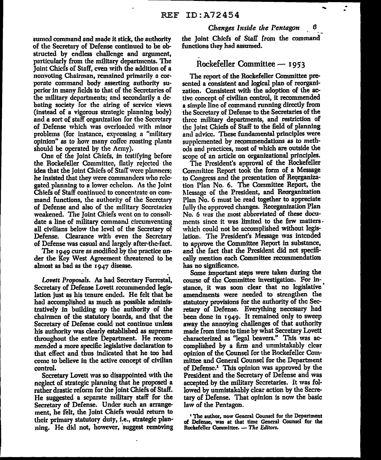sumed command and made it stick, the authority of the Secretary of Defense continued to be obstructed by endless challenge and argument, particularly from the military departments. The Joint Chiefs of Staff, even with the addition of a nonvoting Cliairman, remained primarily a corporate command body asserting authority superior in many fields to that of the Secretaries of the military departments; and secondarily a debating society for the airing of service views (instead of a vigorous strategic planning body) and a sort of staff organization for the Secretary of Defense which was overloaded with minor problems (for instance, expressing a "military opinion" as to how many coffee roasting pl.mts should be operated by the Army).

One of the Joint Chiefs, in testifying before the Rockefeller Committee, flatly rejected the idea that the Joint Chiefs of Staff were planners; he insisted that they were commanders who relegated planning to a lower echelon. As the Joint Chiefs of Staff continued to concentrate on command functions, the authority of the Secretary of Defense and also of the military Secretaries weakened. The Joint Chiefs went on to consolidate a line of military command circumventing all civilians below the level of the Secretary of Defense. Clearance with even the Secretary of Defense was casual and largely after-the-fact.

The 1949 cure as modified by the practice under the Key West Agreement threatened to be almost as bad as the  $1947$  disease.

*Lovett Pr0110sals. As* had Secretary Forrcstal, Secretary of Defense Lovett recommended legislation just as his tenure ended. He felt that he had accomplished as much as possible administratively in building up the authority of the chairmen of the statutory boards, and that the Secretary of Defense could not continue unless his authority was clearly established as supreme throughout the entire Department. He recommended a more specific legislative declaration to that effect and thus indicated that he too had come to believe in the active concept of civilian control.

Secretary Lovett was so disappointed with the neglect of strategic planning that he proposetl a rather drastic reform for the Joint Chiefs of Staff. He suggested a separate military staff for the Secretary of Defense. Under such an arrangement, he felt, the Joint Chiefs would return to their primary statutory duty, i.e., strategic planning. He did not, bowever, suggest removing *Changes Inside the Pentagon* 

the Joint Chiefs of Slaff from the command functions they had assumed.

#### Rockefeller Committee - 1953

The report of the Rockefeller Committee presented a consistent and logical plan of reorganization. Consistent with the adoption of the active concept of civilian control, it recommended a simple line of command running directly from the Secretary of Defense to the Secretaries of the three military departments, and restriction of the Joint Chiefs of Staff to the field of planning and advice. These fundamental principles were supplemented by recommendations as to methods and practices, most of which are outside the scope of an article on organizational principles.

The President's approval of the Rockefeller Committee Report took the form of a Message to Congress and the presentation of Reorganization Plan No. 6. The Committee Report, the l\Iessagc of the President, and Reorganization Plan No. 6 must be read together to appreciate fully the approved changes. Reorganization Plan No. 6 was the most abbreviated of these documents since it was limited to the few matters. which could not be accomplished without legislation. The President's Message was intended to approve the Committee Report in substance, and the fact that the President did not specifically mention each Committee recommendation bas no significance.

Some important steps were taken during the course of tbe Committee investigation. For instance, it was soon clear that no legislative amendments were needed to strengthen the statutory provisions for the authority of the Secretary of Defense. Everything necessary had been done in 1949. It remained only to sweep away the annoying challenges of that authority made from time to time by what Secretary Lovett characterized as "legal beavers." This was accomplished by a firm and unmistakably clear opinion of the Counsel for the Rockefeller Committee and General Counsel for the Department of Defensc.<sup>1</sup> This opinion was approved by the President and the Secretary of Defense and was accepted by the military Sccretaries. It was followed by unmistakably clear action by the Secretary of Defense. That opinion is now the basic law of the Pentagon.

<sup>1</sup> The author, now General Counsel for the Department of Defense, \Vas at that time General Counsel for the Rockefeller Committee. - The Editors.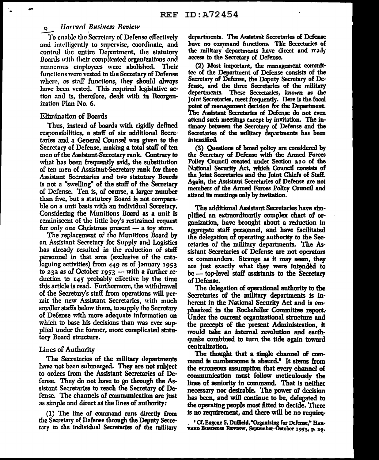#### **Harvard Business Review**  $\mathbf{Q}$

To enable the Secretary of Defense effectively and intelligently to supervise, coordinate, and control the entire Department, the statutory Boards with their complicated organizations and numerous employees were abolished. Their functions were vested in the Secretary of Defense where, as staff functions, they should always have been vested. This required legislative action and is, therefore, dealt with in Reorganization Plan No. 6.

#### **Elimination of Boards**

Thus, instead of boards with rigidly defined responsibilities, a staff of six additional Secretaries and a General Counsel was given to the Secretary of Defense, making a total staff of ten men of the Assistant-Secretary rank. Contrary to what has been frequently said, the substitution of ten men of Assistant-Secretary rank for three Assistant Secretaries and two statutory Boards is not a "swelling" of the staff of the Secretary of Defense. Ten is, of course, a larger number than five, but a statutory Board is not comparable on a unit basis with an individual Secretary. Considering the Munitions Board as a unit is reminiscent of the little boy's restrained request for only one Christmas present - a toy store.

The replacement of the Munitions Board by an Assistant Secretary for Supply and Logistics has already resulted in the reduction of staff personnel in that area (exclusive of the cataloguing activities) from 449 as of January 1953 to 232 as of October 1953  $-$  with a further reduction to 145 probably effective by the time this article is read. Furthermore, the withdrawal of the Secretary's staff from operations will permit the new Assistant Secretaries, with much smaller staffs below them, to supply the Secretary of Defense with more adequate information on which to base his decisions than was ever supplied under the former, more complicated statutory Board structure.

#### Lines of Authority

The Secretaries of the military departments have not been submerged. They are not subject to orders from the Assistant Secretaries of Defense. They do not have to go through the Assistant Secretaries to reach the Secretary of Defense. The channels of communication are just as simple and direct as the lines of authority:

(1) The line of command runs directly from the Secretary of Defense through the Deputy Secretary to the individual Secretaries of the military departments. The Assistant Secretaries of Defense have no command functions. The Secretaries of the military departments have direct and ready access to the Secretary of Defense.

(2) Most important, the management committce of the Department of Defense consists of the Secretary of Defense, the Deputy Secretary of Defense, and the three Secretaries of the military departments. These Secretaries, known as the Joint Secretaries, meet frequently. Here is the focal point of management decision for the Department. The Assistant Secretaries of Defense do not even attend such meetings except by invitation. The intimacy between the Secretary of Defense and the Secretaries of the military departments has been intensified.

(3) Questions of broad policy are considered by the Secretary of Defense with the Armed Forces Policy Council created under Section 210 of the National Security Act, which Council consists of the Joint Secretaries and the Joint Chiefs of Staff. Again, the Assistant Secretaries of Defense are not members of the Armed Forces Policy Council and attend its meetings only by invitation.

The additional Assistant Secretaries have simplified an extraordinarily complex chart of organization, have brought about a reduction in aggregate staff personnel, and have facilitated the delegation of operating authority to the Secretaries of the military departments. The Assistant Secretaries of Defense are not operators or commanders. Strange as it may seem, they are just exactly what they were intended to be -- top-level staff assistants to the Secretary of Defense.

The delegation of operational authority to the Secretaries of the military departments is inherent in the National Security Act and is emphasized in the Rockefeller Committee report. Under the current organizational structure and the precepts of the present Administration, it would take an internal revolution and earthquake combined to turn the tide again toward centralization.

The thought that a single channel of command is cumbersome is absurd.<sup>2</sup> It stems from the erroneous assumption that every channel of communication must follow meticulously the lines of seniority in command. That is neither necessary nor desirable. The power of decision has been, and will continue to be, delegated to the operating people most fitted to decide. There is no requirement, and there will be no require-

<sup>\*</sup> Cf. Eugene S. Duffield, "Organizing for Defense," HAR-VARD BUSINESS REVIEW, September-October 1953, p. 29.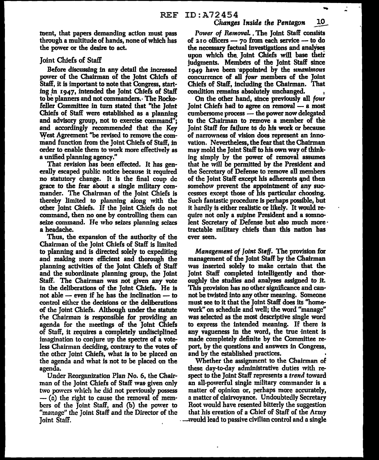the finent, that papers demanding action must pass *Power of Removal.* The Joint Staff consists through a multitude of hands, none of which has of 210 officers -- 70 from each service -- to do the power or the desire to act. the necessary factual investigations and analyses

Before discussing in any detail the increased 1949 have been appointed by the *unanimous* power of the Chairman of the Joint Chiefs of concurrence of all *four* members of the Joint Staff, it is important to note that Congress, start- Chiefs of Staff, including the Chairman. That ing in 1947, intended the Joint Chiefs of Staff condition remains absolutely unchanged.<br>to be planners and not commanders. The Rocke- On the other hand, since previously a feller Committee in turn stated that "the Joint Joint Chiefs had to agree on removal — a most<br>Chiefs of Staff were established as a planning cumbersome process — the power now delegated and advisory group, not to exercise command"; to the Chairman to remove a member of the and accordingly recommended that the Key Joint Staff for failure to do his work or because<br>West Agreement "be revised to remove the com- of narrowness of vision does represent an inno-West Agreement "be revised to remove the command function from the Joint Chiefs of Staff, in vation. Nevertheless,. the fear that the Chairman order to enable them to work more effectively as may mold the Joint Staff to his own way of think-<br>a unified planning agency." sing simply by the power of removal assumes

erally escaped public notice because it required the Secretary of Defense to remove all members no statutory change. It is the final coup de of the Joint Staff except his adherents qnd then grace to the fear about a single mflitary com- somehow prevent the appointment of any sucmander. The Chairman of the Joint Chiefs is cessors except those of his particular choosing. thereby limited to planning along with the Such fantastic procedure is perhaps possible, but<br>other Joint Chiefs. If the Joint Chiefs do not it hardly is either realistic or likely. It would reother Joint Chiefs. If the Joint Chiefs do not command, then no one by controlling them can quire not only a supine President and a somnoseize command. He who seizes planning seizes lent Secretary of Defense but also much more· a headache. tractable military chiefs than this nation has

Thus, the expansion of the authority of the ever seen. Chairman of tbe Joint Chiefs of Staff is limited to planning and is directed solely to expediting *Management of Joint Staff.* The provision for<br>and making more efficient and thorough the management of the Joint Staff by the Chairman and making more efficient and thorough the planning activities of the Joint Chiefs of Staff \Vas inserted solely to make certain that the and the subordinate planning group, the Joint Joint Staff completed intelligently and thor-StafF. The Chairman was not given any vote oughly the studies and analyses assigned to it. in the deliberations of the Joint Chiefs. He is This provision has no other significance and cannot able — even if he has the inclination — to not be twisted into any other meaning. Someone control either the decisions or the deliberations must see to it that the Joint Staff does its "homecontrol either the decisions or the deliberations of the Joint Chiefs. Although under the statute work" on schedule and well; the word "manage" the Chairman is responsible for providing an was selected as the most descriptive single word agenda for the meetings of the Joint Chiefs to express the intended meaning. If there is of Staff, it requires a completely undisciplined any vagueness in the word, the true intent is imagination to conjure up the spectre of a vote- made completely definite by the Committee reless Chairman deciding, contrary to the votes of port, by the questions and answers in Congress, the other Joint Chiefs, what Is to be placed on and by the established practices. the agenda and what is not to be placed on the Whether the assignment to the Chairman of agenda. these day-to-day administrative duties with re-

man of the Joint Chiefs of Staff was given only an all-powerful single military commander is a two powers which he did not previously possess matter of opinion or, perhaps more accurately, --- (a) the right to cause the removal of mem- a matter of clairvoyance. Undoubtedly Secretary<br>bers of the Joint Staff, and (b) the power to Root would have resented bitterly the suggestion bcrs of the Joint Staff, and (b) the power to "manage" the Joint Staff and the Director of the that his ereation of a Chief of Staff of the Army Joint Staff. . ~\reuld lead to passive civilian control and a single

of  $210$  officers  $-$  70 from each service  $-$  to do upon which the. Joint Chiefs will base their Joint Chiefs of Staff judgments. Members of the Joint Staff since concurrence of all *four* members of the Joint

On the other hand, since previously all *four* cumbersome process - the power now delegated ing simply by the power of removal assumes That revision has been effected. It has gen- that he wilJ be permitted by the President and

Under Reorganization Plan No. 6, the Chair-<br>spect to the *Joint Staff represents* a *trend* toward